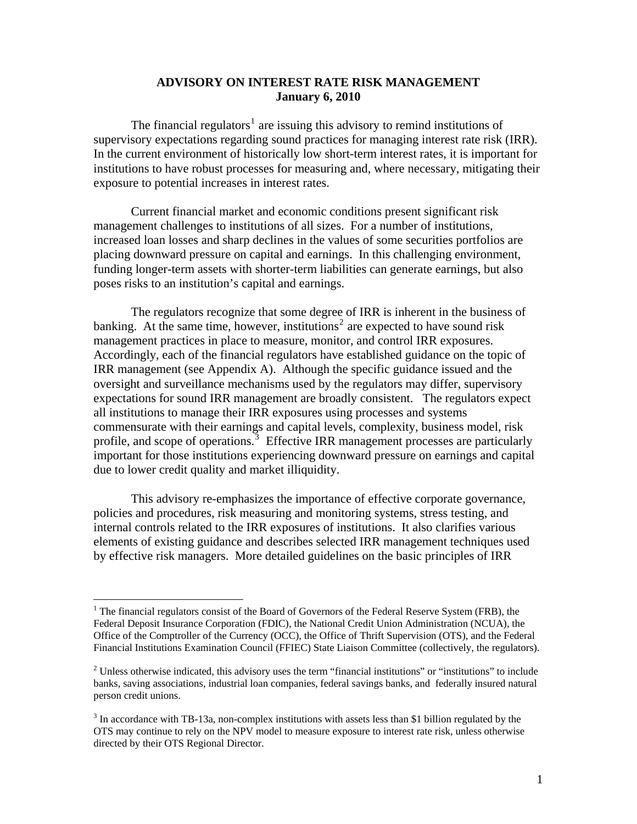### **ADVISORY ON INTEREST RATE RISK MANAGEMENT January 6, 2010**

The financial regulators<sup>[1](#page-0-0)</sup> are issuing this advisory to remind institutions of supervisory expectations regarding sound practices for managing interest rate risk (IRR). In the current environment of historically low short-term interest rates, it is important for institutions to have robust processes for measuring and, where necessary, mitigating their exposure to potential increases in interest rates.

Current financial market and economic conditions present significant risk management challenges to institutions of all sizes. For a number of institutions, increased loan losses and sharp declines in the values of some securities portfolios are placing downward pressure on capital and earnings. In this challenging environment, funding longer-term assets with shorter-term liabilities can generate earnings, but also poses risks to an institution's capital and earnings.

The regulators recognize that some degree of IRR is inherent in the business of banking. At the same time, however, institutions<sup>[2](#page-0-1)</sup> are expected to have sound risk management practices in place to measure, monitor, and control IRR exposures. Accordingly, each of the financial regulators have established guidance on the topic of IRR management (see Appendix A). Although the specific guidance issued and the oversight and surveillance mechanisms used by the regulators may differ, supervisory expectations for sound IRR management are broadly consistent. The regulators expect all institutions to manage their IRR exposures using processes and systems commensurate with their earnings and capital levels, complexity, business model, risk profile, and scope of operations.<sup>[3](#page-0-2)</sup> Effective IRR management processes are particularly important for those institutions experiencing downward pressure on earnings and capital due to lower credit quality and market illiquidity.

This advisory re-emphasizes the importance of effective corporate governance, policies and procedures, risk measuring and monitoring systems, stress testing, and internal controls related to the IRR exposures of institutions. It also clarifies various elements of existing guidance and describes selected IRR management techniques used by effective risk managers. More detailed guidelines on the basic principles of IRR

<span id="page-0-0"></span><sup>&</sup>lt;sup>1</sup> The financial regulators consist of the Board of Governors of the Federal Reserve System (FRB), the Federal Deposit Insurance Corporation (FDIC), the National Credit Union Administration (NCUA), the Office of the Comptroller of the Currency (OCC), the Office of Thrift Supervision (OTS), and the Federal Financial Institutions Examination Council (FFIEC) State Liaison Committee (collectively, the regulators).

<span id="page-0-1"></span> $2^2$  Unless otherwise indicated, this advisory uses the term "financial institutions" or "institutions" to include banks, saving associations, industrial loan companies, federal savings banks, and federally insured natural person credit unions.

<span id="page-0-2"></span> $3$  In accordance with TB-13a, non-complex institutions with assets less than \$1 billion regulated by the OTS may continue to rely on the NPV model to measure exposure to interest rate risk, unless otherwise directed by their OTS Regional Director.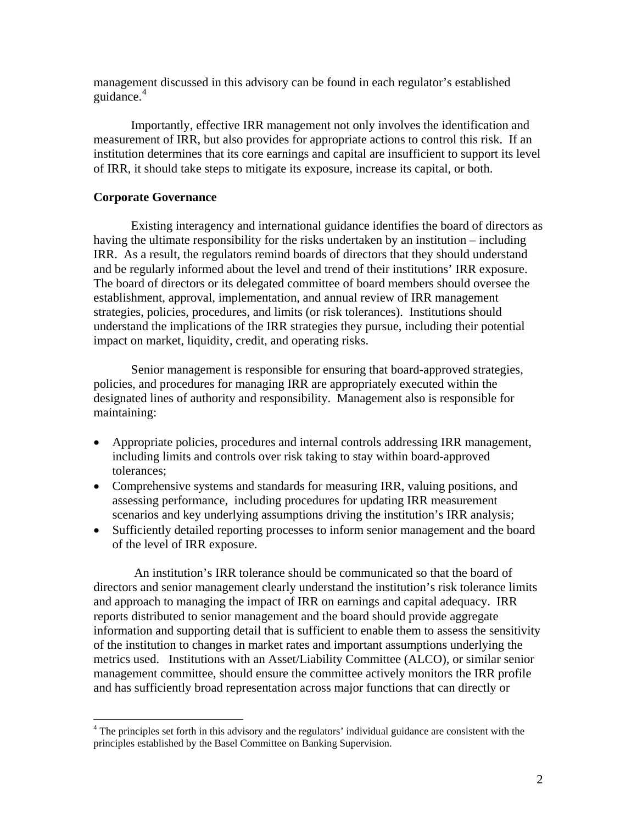management discussed in this advisory can be found in each regulator's established guidance.<sup>[4](#page-1-0)</sup>

Importantly, effective IRR management not only involves the identification and measurement of IRR, but also provides for appropriate actions to control this risk. If an institution determines that its core earnings and capital are insufficient to support its level of IRR, it should take steps to mitigate its exposure, increase its capital, or both.

### **Corporate Governance**

Existing interagency and international guidance identifies the board of directors as having the ultimate responsibility for the risks undertaken by an institution – including IRR. As a result, the regulators remind boards of directors that they should understand and be regularly informed about the level and trend of their institutions' IRR exposure. The board of directors or its delegated committee of board members should oversee the establishment, approval, implementation, and annual review of IRR management strategies, policies, procedures, and limits (or risk tolerances). Institutions should understand the implications of the IRR strategies they pursue, including their potential impact on market, liquidity, credit, and operating risks.

Senior management is responsible for ensuring that board-approved strategies, policies, and procedures for managing IRR are appropriately executed within the designated lines of authority and responsibility. Management also is responsible for maintaining:

- Appropriate policies, procedures and internal controls addressing IRR management, including limits and controls over risk taking to stay within board-approved tolerances;
- Comprehensive systems and standards for measuring IRR, valuing positions, and assessing performance, including procedures for updating IRR measurement scenarios and key underlying assumptions driving the institution's IRR analysis;
- Sufficiently detailed reporting processes to inform senior management and the board of the level of IRR exposure.

 An institution's IRR tolerance should be communicated so that the board of directors and senior management clearly understand the institution's risk tolerance limits and approach to managing the impact of IRR on earnings and capital adequacy. IRR reports distributed to senior management and the board should provide aggregate information and supporting detail that is sufficient to enable them to assess the sensitivity of the institution to changes in market rates and important assumptions underlying the metrics used. Institutions with an Asset/Liability Committee (ALCO), or similar senior management committee, should ensure the committee actively monitors the IRR profile and has sufficiently broad representation across major functions that can directly or

<span id="page-1-0"></span><sup>&</sup>lt;sup>4</sup> The principles set forth in this advisory and the regulators' individual guidance are consistent with the principles established by the Basel Committee on Banking Supervision.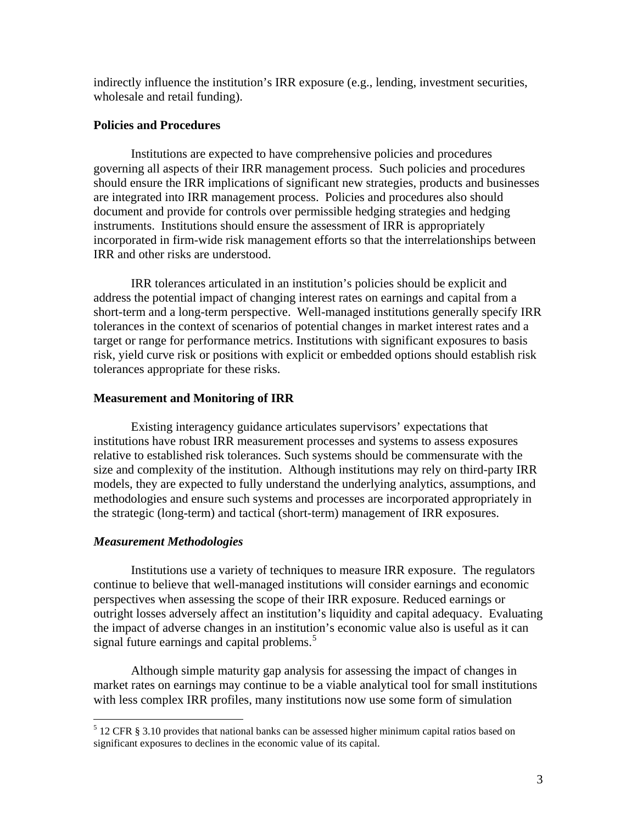indirectly influence the institution's IRR exposure (e.g., lending, investment securities, wholesale and retail funding).

### **Policies and Procedures**

Institutions are expected to have comprehensive policies and procedures governing all aspects of their IRR management process. Such policies and procedures should ensure the IRR implications of significant new strategies, products and businesses are integrated into IRR management process. Policies and procedures also should document and provide for controls over permissible hedging strategies and hedging instruments. Institutions should ensure the assessment of IRR is appropriately incorporated in firm-wide risk management efforts so that the interrelationships between IRR and other risks are understood.

IRR tolerances articulated in an institution's policies should be explicit and address the potential impact of changing interest rates on earnings and capital from a short-term and a long-term perspective. Well-managed institutions generally specify IRR tolerances in the context of scenarios of potential changes in market interest rates and a target or range for performance metrics. Institutions with significant exposures to basis risk, yield curve risk or positions with explicit or embedded options should establish risk tolerances appropriate for these risks.

### **Measurement and Monitoring of IRR**

Existing interagency guidance articulates supervisors' expectations that institutions have robust IRR measurement processes and systems to assess exposures relative to established risk tolerances. Such systems should be commensurate with the size and complexity of the institution. Although institutions may rely on third-party IRR models, they are expected to fully understand the underlying analytics, assumptions, and methodologies and ensure such systems and processes are incorporated appropriately in the strategic (long-term) and tactical (short-term) management of IRR exposures.

#### *Measurement Methodologies*

Institutions use a variety of techniques to measure IRR exposure. The regulators continue to believe that well-managed institutions will consider earnings and economic perspectives when assessing the scope of their IRR exposure. Reduced earnings or outright losses adversely affect an institution's liquidity and capital adequacy. Evaluating the impact of adverse changes in an institution's economic value also is useful as it can signal future earnings and capital problems.<sup>[5](#page-2-0)</sup>

Although simple maturity gap analysis for assessing the impact of changes in market rates on earnings may continue to be a viable analytical tool for small institutions with less complex IRR profiles, many institutions now use some form of simulation

<span id="page-2-0"></span> $<sup>5</sup>$  12 CFR § 3.10 provides that national banks can be assessed higher minimum capital ratios based on</sup> significant exposures to declines in the economic value of its capital.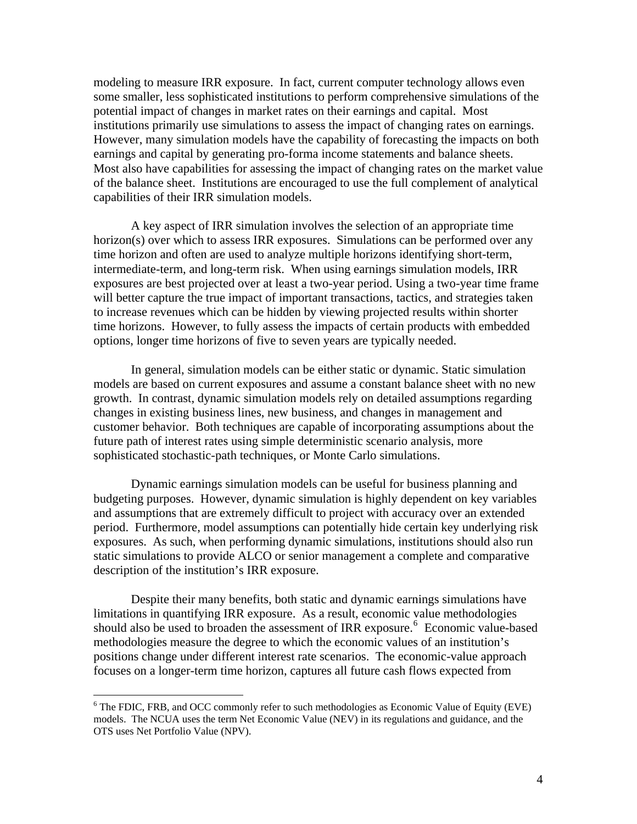modeling to measure IRR exposure. In fact, current computer technology allows even some smaller, less sophisticated institutions to perform comprehensive simulations of the potential impact of changes in market rates on their earnings and capital. Most institutions primarily use simulations to assess the impact of changing rates on earnings. However, many simulation models have the capability of forecasting the impacts on both earnings and capital by generating pro-forma income statements and balance sheets. Most also have capabilities for assessing the impact of changing rates on the market value of the balance sheet. Institutions are encouraged to use the full complement of analytical capabilities of their IRR simulation models.

A key aspect of IRR simulation involves the selection of an appropriate time horizon(s) over which to assess IRR exposures. Simulations can be performed over any time horizon and often are used to analyze multiple horizons identifying short-term, intermediate-term, and long-term risk. When using earnings simulation models, IRR exposures are best projected over at least a two-year period. Using a two-year time frame will better capture the true impact of important transactions, tactics, and strategies taken to increase revenues which can be hidden by viewing projected results within shorter time horizons. However, to fully assess the impacts of certain products with embedded options, longer time horizons of five to seven years are typically needed.

In general, simulation models can be either static or dynamic. Static simulation models are based on current exposures and assume a constant balance sheet with no new growth. In contrast, dynamic simulation models rely on detailed assumptions regarding changes in existing business lines, new business, and changes in management and customer behavior. Both techniques are capable of incorporating assumptions about the future path of interest rates using simple deterministic scenario analysis, more sophisticated stochastic-path techniques, or Monte Carlo simulations.

Dynamic earnings simulation models can be useful for business planning and budgeting purposes. However, dynamic simulation is highly dependent on key variables and assumptions that are extremely difficult to project with accuracy over an extended period. Furthermore, model assumptions can potentially hide certain key underlying risk exposures. As such, when performing dynamic simulations, institutions should also run static simulations to provide ALCO or senior management a complete and comparative description of the institution's IRR exposure.

Despite their many benefits, both static and dynamic earnings simulations have limitations in quantifying IRR exposure. As a result, economic value methodologies should also be used to broaden the assessment of IRR exposure.<sup>[6](#page-3-0)</sup> Economic value-based methodologies measure the degree to which the economic values of an institution's positions change under different interest rate scenarios. The economic-value approach focuses on a longer-term time horizon, captures all future cash flows expected from

<span id="page-3-0"></span><sup>&</sup>lt;sup>6</sup> The FDIC, FRB, and OCC commonly refer to such methodologies as Economic Value of Equity (EVE) models. The NCUA uses the term Net Economic Value (NEV) in its regulations and guidance, and the OTS uses Net Portfolio Value (NPV).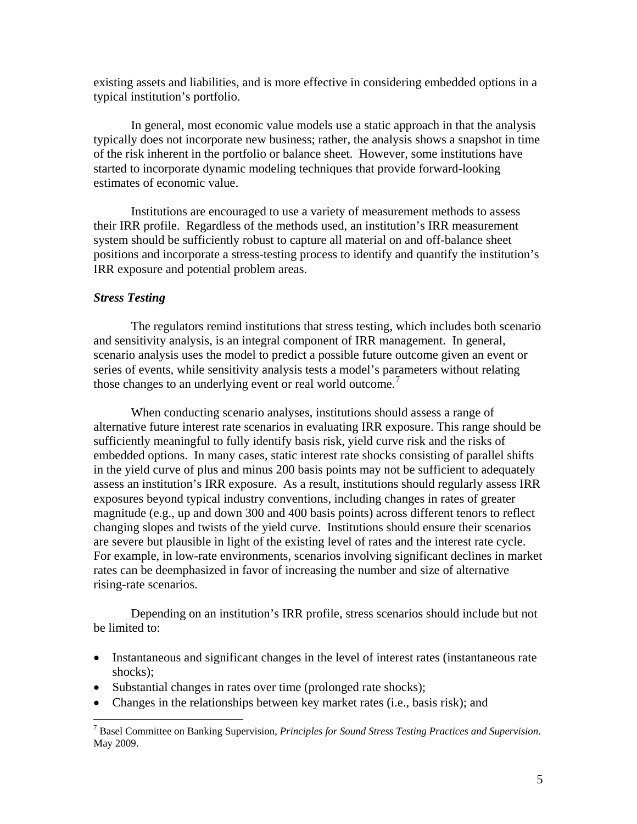existing assets and liabilities, and is more effective in considering embedded options in a typical institution's portfolio.

In general, most economic value models use a static approach in that the analysis typically does not incorporate new business; rather, the analysis shows a snapshot in time of the risk inherent in the portfolio or balance sheet. However, some institutions have started to incorporate dynamic modeling techniques that provide forward-looking estimates of economic value.

Institutions are encouraged to use a variety of measurement methods to assess their IRR profile. Regardless of the methods used, an institution's IRR measurement system should be sufficiently robust to capture all material on and off-balance sheet positions and incorporate a stress-testing process to identify and quantify the institution's IRR exposure and potential problem areas.

### *Stress Testing*

The regulators remind institutions that stress testing, which includes both scenario and sensitivity analysis, is an integral component of IRR management. In general, scenario analysis uses the model to predict a possible future outcome given an event or series of events, while sensitivity analysis tests a model's parameters without relating those changes to an underlying event or real world outcome.<sup>[7](#page-4-0)</sup>

When conducting scenario analyses, institutions should assess a range of alternative future interest rate scenarios in evaluating IRR exposure. This range should be sufficiently meaningful to fully identify basis risk, yield curve risk and the risks of embedded options. In many cases, static interest rate shocks consisting of parallel shifts in the yield curve of plus and minus 200 basis points may not be sufficient to adequately assess an institution's IRR exposure. As a result, institutions should regularly assess IRR exposures beyond typical industry conventions, including changes in rates of greater magnitude (e.g., up and down 300 and 400 basis points) across different tenors to reflect changing slopes and twists of the yield curve. Institutions should ensure their scenarios are severe but plausible in light of the existing level of rates and the interest rate cycle. For example, in low-rate environments, scenarios involving significant declines in market rates can be deemphasized in favor of increasing the number and size of alternative rising-rate scenarios.

Depending on an institution's IRR profile, stress scenarios should include but not be limited to:

- Instantaneous and significant changes in the level of interest rates (instantaneous rate shocks);
- Substantial changes in rates over time (prolonged rate shocks);
- Changes in the relationships between key market rates (i.e., basis risk); and

<span id="page-4-0"></span><sup>7</sup> Basel Committee on Banking Supervision, *Principles for Sound Stress Testing Practices and Supervision*. May 2009.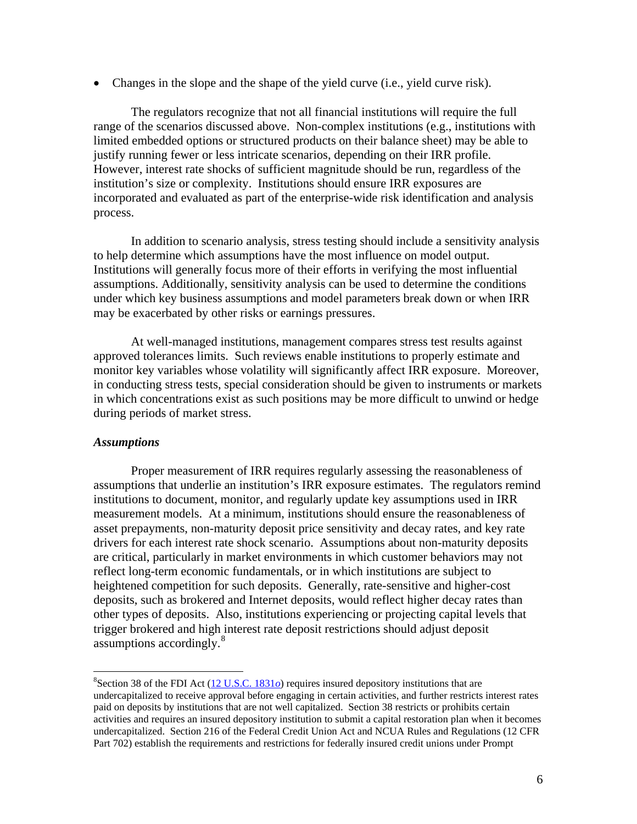• Changes in the slope and the shape of the yield curve (i.e., yield curve risk).

The regulators recognize that not all financial institutions will require the full range of the scenarios discussed above. Non-complex institutions (e.g., institutions with limited embedded options or structured products on their balance sheet) may be able to justify running fewer or less intricate scenarios, depending on their IRR profile. However, interest rate shocks of sufficient magnitude should be run, regardless of the institution's size or complexity. Institutions should ensure IRR exposures are incorporated and evaluated as part of the enterprise-wide risk identification and analysis process.

In addition to scenario analysis, stress testing should include a sensitivity analysis to help determine which assumptions have the most influence on model output. Institutions will generally focus more of their efforts in verifying the most influential assumptions. Additionally, sensitivity analysis can be used to determine the conditions under which key business assumptions and model parameters break down or when IRR may be exacerbated by other risks or earnings pressures.

At well-managed institutions, management compares stress test results against approved tolerances limits. Such reviews enable institutions to properly estimate and monitor key variables whose volatility will significantly affect IRR exposure. Moreover, in conducting stress tests, special consideration should be given to instruments or markets in which concentrations exist as such positions may be more difficult to unwind or hedge during periods of market stress.

#### *Assumptions*

Proper measurement of IRR requires regularly assessing the reasonableness of assumptions that underlie an institution's IRR exposure estimates. The regulators remind institutions to document, monitor, and regularly update key assumptions used in IRR measurement models. At a minimum, institutions should ensure the reasonableness of asset prepayments, non-maturity deposit price sensitivity and decay rates, and key rate drivers for each interest rate shock scenario. Assumptions about non-maturity deposits are critical, particularly in market environments in which customer behaviors may not reflect long-term economic fundamentals, or in which institutions are subject to heightened competition for such deposits. Generally, rate-sensitive and higher-cost deposits, such as brokered and Internet deposits, would reflect higher decay rates than other types of deposits. Also, institutions experiencing or projecting capital levels that trigger brokered and high interest rate deposit restrictions should adjust deposit assumptions accordingly.<sup>[8](#page-5-0)</sup>

<span id="page-5-0"></span><sup>&</sup>lt;sup>8</sup>Section 38 of the FDI Act ([12 U.S.C. 1831](http://www.fdic.gov/regulations/laws/rules/1000-4000.html#1000sec.38a)*o*) requires insured depository institutions that are undercapitalized to receive approval before engaging in certain activities, and further restricts interest rates paid on deposits by institutions that are not well capitalized. Section 38 restricts or prohibits certain activities and requires an insured depository institution to submit a capital restoration plan when it becomes undercapitalized. Section 216 of the Federal Credit Union Act and NCUA Rules and Regulations (12 CFR Part 702) establish the requirements and restrictions for federally insured credit unions under Prompt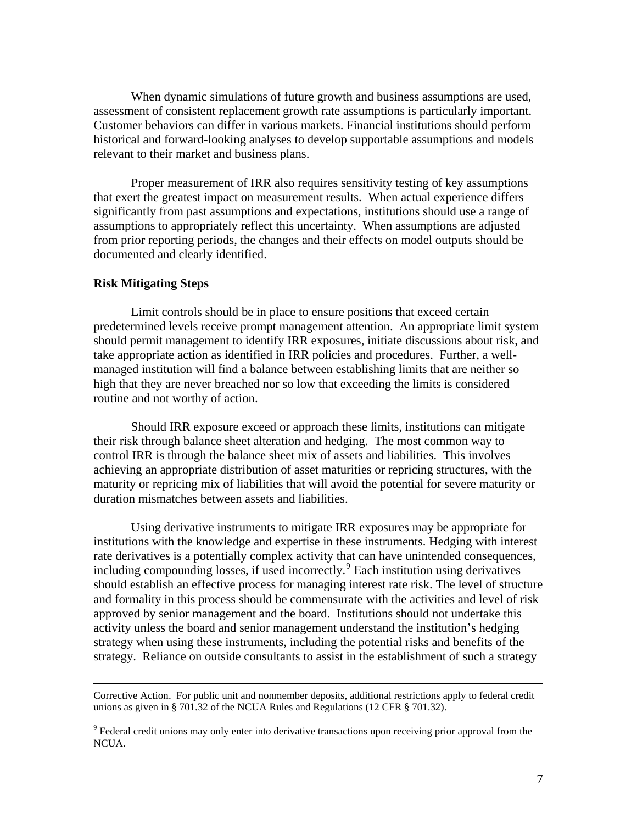When dynamic simulations of future growth and business assumptions are used, assessment of consistent replacement growth rate assumptions is particularly important. Customer behaviors can differ in various markets. Financial institutions should perform historical and forward-looking analyses to develop supportable assumptions and models relevant to their market and business plans.

Proper measurement of IRR also requires sensitivity testing of key assumptions that exert the greatest impact on measurement results. When actual experience differs significantly from past assumptions and expectations, institutions should use a range of assumptions to appropriately reflect this uncertainty. When assumptions are adjusted from prior reporting periods, the changes and their effects on model outputs should be documented and clearly identified.

#### **Risk Mitigating Steps**

Limit controls should be in place to ensure positions that exceed certain predetermined levels receive prompt management attention. An appropriate limit system should permit management to identify IRR exposures, initiate discussions about risk, and take appropriate action as identified in IRR policies and procedures. Further, a wellmanaged institution will find a balance between establishing limits that are neither so high that they are never breached nor so low that exceeding the limits is considered routine and not worthy of action.

Should IRR exposure exceed or approach these limits, institutions can mitigate their risk through balance sheet alteration and hedging. The most common way to control IRR is through the balance sheet mix of assets and liabilities. This involves achieving an appropriate distribution of asset maturities or repricing structures, with the maturity or repricing mix of liabilities that will avoid the potential for severe maturity or duration mismatches between assets and liabilities.

Using derivative instruments to mitigate IRR exposures may be appropriate for institutions with the knowledge and expertise in these instruments. Hedging with interest rate derivatives is a potentially complex activity that can have unintended consequences, including compounding losses, if used incorrectly.<sup>[9](#page-6-0)</sup> Each institution using derivatives should establish an effective process for managing interest rate risk. The level of structure and formality in this process should be commensurate with the activities and level of risk approved by senior management and the board. Institutions should not undertake this activity unless the board and senior management understand the institution's hedging strategy when using these instruments, including the potential risks and benefits of the strategy. Reliance on outside consultants to assist in the establishment of such a strategy

Corrective Action. For public unit and nonmember deposits, additional restrictions apply to federal credit unions as given in § 701.32 of the NCUA Rules and Regulations (12 CFR § 701.32).

<span id="page-6-0"></span><sup>&</sup>lt;sup>9</sup> Federal credit unions may only enter into derivative transactions upon receiving prior approval from the NCUA.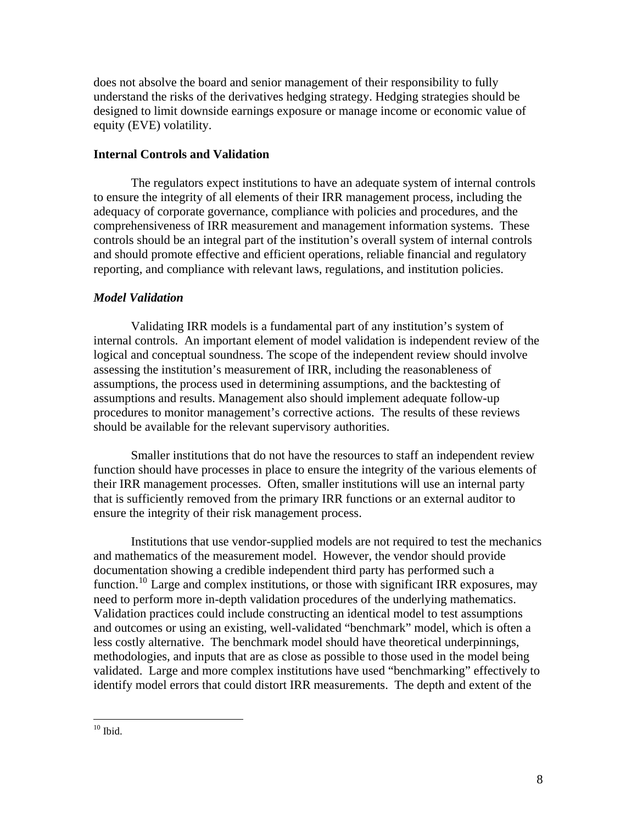does not absolve the board and senior management of their responsibility to fully understand the risks of the derivatives hedging strategy. Hedging strategies should be designed to limit downside earnings exposure or manage income or economic value of equity (EVE) volatility.

#### **Internal Controls and Validation**

The regulators expect institutions to have an adequate system of internal controls to ensure the integrity of all elements of their IRR management process, including the adequacy of corporate governance, compliance with policies and procedures, and the comprehensiveness of IRR measurement and management information systems. These controls should be an integral part of the institution's overall system of internal controls and should promote effective and efficient operations, reliable financial and regulatory reporting, and compliance with relevant laws, regulations, and institution policies.

### *Model Validation*

Validating IRR models is a fundamental part of any institution's system of internal controls. An important element of model validation is independent review of the logical and conceptual soundness. The scope of the independent review should involve assessing the institution's measurement of IRR, including the reasonableness of assumptions, the process used in determining assumptions, and the backtesting of assumptions and results. Management also should implement adequate follow-up procedures to monitor management's corrective actions. The results of these reviews should be available for the relevant supervisory authorities.

Smaller institutions that do not have the resources to staff an independent review function should have processes in place to ensure the integrity of the various elements of their IRR management processes. Often, smaller institutions will use an internal party that is sufficiently removed from the primary IRR functions or an external auditor to ensure the integrity of their risk management process.

Institutions that use vendor-supplied models are not required to test the mechanics and mathematics of the measurement model. However, the vendor should provide documentation showing a credible independent third party has performed such a function.<sup>[10](#page-7-0)</sup> Large and complex institutions, or those with significant IRR exposures, may need to perform more in-depth validation procedures of the underlying mathematics. Validation practices could include constructing an identical model to test assumptions and outcomes or using an existing, well-validated "benchmark" model, which is often a less costly alternative. The benchmark model should have theoretical underpinnings, methodologies, and inputs that are as close as possible to those used in the model being validated. Large and more complex institutions have used "benchmarking" effectively to identify model errors that could distort IRR measurements. The depth and extent of the

<span id="page-7-0"></span> $10$  Ibid.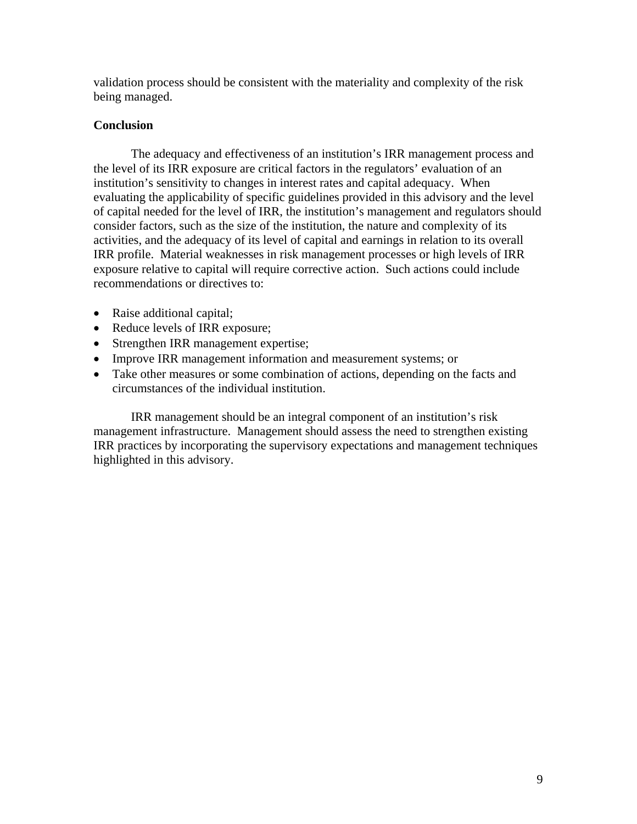validation process should be consistent with the materiality and complexity of the risk being managed.

### **Conclusion**

The adequacy and effectiveness of an institution's IRR management process and the level of its IRR exposure are critical factors in the regulators' evaluation of an institution's sensitivity to changes in interest rates and capital adequacy. When evaluating the applicability of specific guidelines provided in this advisory and the level of capital needed for the level of IRR, the institution's management and regulators should consider factors, such as the size of the institution, the nature and complexity of its activities, and the adequacy of its level of capital and earnings in relation to its overall IRR profile. Material weaknesses in risk management processes or high levels of IRR exposure relative to capital will require corrective action. Such actions could include recommendations or directives to:

- Raise additional capital;
- Reduce levels of IRR exposure;
- Strengthen IRR management expertise;
- Improve IRR management information and measurement systems; or
- Take other measures or some combination of actions, depending on the facts and circumstances of the individual institution.

IRR management should be an integral component of an institution's risk management infrastructure. Management should assess the need to strengthen existing IRR practices by incorporating the supervisory expectations and management techniques highlighted in this advisory.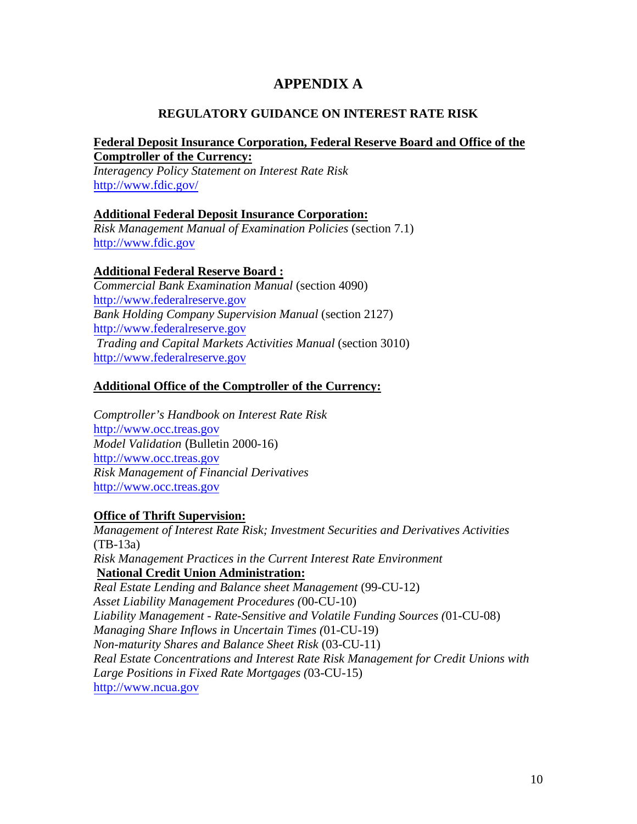# **APPENDIX A**

# **REGULATORY GUIDANCE ON INTEREST RATE RISK**

### **Federal Deposit Insurance Corporation, Federal Reserve Board and Office of the Comptroller of the Currency:**

*Interagency Policy Statement on Interest Rate Risk*  [http://www.fdic.gov/](http://www.fdic.gov/news/news/financial/1996/fil9652.pdf)

## **Additional Federal Deposit Insurance Corporation:**

*Risk Management Manual of Examination Policies* (section 7.1) [http://www.fdic.gov](http://www.fdic.gov/regulations/safety/manual/section7-1_toc.html)

# **Additional Federal Reserve Board :**

*Commercial Bank Examination Manual* (section 4090) [http://www.federalreserve.gov](http://www.federalreserve.gov/boarddocs/supmanual/cbem/0005cbem.pdf) *Bank Holding Company Supervision Manual* (section 2127) [http://www.federalreserve.gov](http://www.federalreserve.gov/boarddocs/supmanual/bhc/200907/2000p5.pdf) *Trading and Capital Markets Activities Manual* (section 3010) [http://www.federalreserve.gov](http://www.federalreserve.gov/boarddocs/supmanual/trading/trading.pdf)

## **Additional Office of the Comptroller of the Currency:**

*Comptroller's Handbook on Interest Rate Risk* [http://www.occ.treas.gov](http://www.occ.gov/static/publications/handbook/irr.pdf) *Model Validation* (Bulletin 2000-16) [http://www.occ.treas.gov](http://www.occ.gov/news-issuances/bulletins/2000/bulletin-2000-16.html) *Risk Management of Financial Derivatives*  [http://www.occ.treas.gov](http://www.occ.gov/static/publications/handbook/deriv.pdf)

### **Office of Thrift Supervision:**

*Manage[ment of Interest Rate Risk; Investmen](http://files.ots.treas.gov/84074.pdf)t Securities and Derivatives Activities* (TB-13a) *Risk Management Practices in the Current Interest Rate Environment* **[National Credit Union Administ](http://files.ots.treas.gov/25195.pdf)ration:**  *Real Estate Lending and Balance sheet Management* (99-CU-12) *Asset Liability Management Procedures (*00-CU-10) *Liability Management - Rate-Sensitive and Volatile Funding Sources (*01-CU-08) *Managing Share Inflows in Uncertain Times (*01-CU-19) *Non-maturity Shares and Balance Sheet Risk* (03-CU-11) *Real Estate Concentrations and Interest Rate Risk Management for Credit Unions with Large Positions in Fixed Rate Mortgages (*03-CU-15)

http://www.ncua.gov